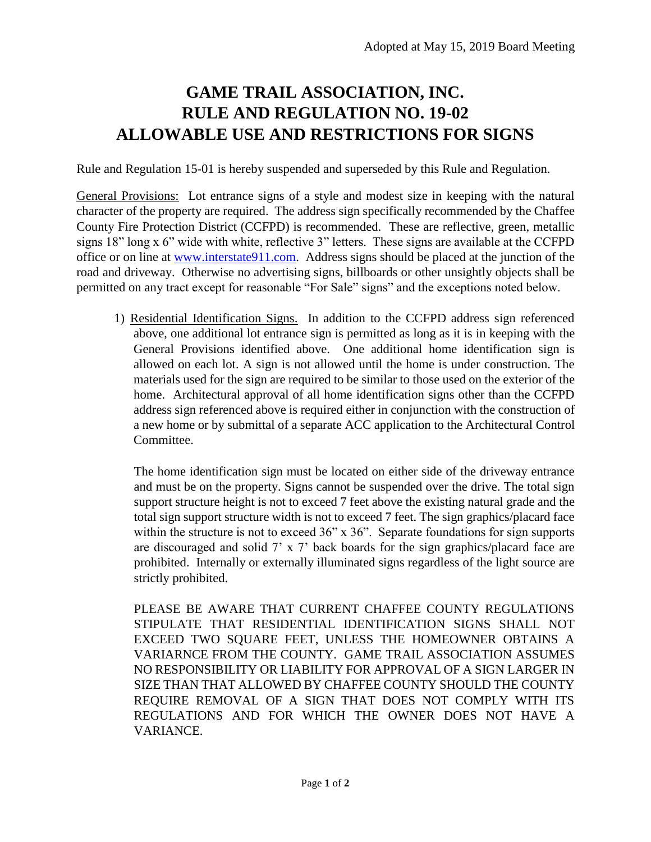## **GAME TRAIL ASSOCIATION, INC. RULE AND REGULATION NO. 19-02 ALLOWABLE USE AND RESTRICTIONS FOR SIGNS**

Rule and Regulation 15-01 is hereby suspended and superseded by this Rule and Regulation.

General Provisions: Lot entrance signs of a style and modest size in keeping with the natural character of the property are required. The address sign specifically recommended by the Chaffee County Fire Protection District (CCFPD) is recommended. These are reflective, green, metallic signs 18" long x 6" wide with white, reflective 3" letters. These signs are available at the CCFPD office or on line at [www.interstate911.com.](http://www.interstate911.com/) Address signs should be placed at the junction of the road and driveway. Otherwise no advertising signs, billboards or other unsightly objects shall be permitted on any tract except for reasonable "For Sale" signs" and the exceptions noted below.

1) Residential Identification Signs. In addition to the CCFPD address sign referenced above, one additional lot entrance sign is permitted as long as it is in keeping with the General Provisions identified above. One additional home identification sign is allowed on each lot. A sign is not allowed until the home is under construction. The materials used for the sign are required to be similar to those used on the exterior of the home. Architectural approval of all home identification signs other than the CCFPD address sign referenced above is required either in conjunction with the construction of a new home or by submittal of a separate ACC application to the Architectural Control Committee.

The home identification sign must be located on either side of the driveway entrance and must be on the property. Signs cannot be suspended over the drive. The total sign support structure height is not to exceed 7 feet above the existing natural grade and the total sign support structure width is not to exceed 7 feet. The sign graphics/placard face within the structure is not to exceed 36" x 36". Separate foundations for sign supports are discouraged and solid 7' x 7' back boards for the sign graphics/placard face are prohibited. Internally or externally illuminated signs regardless of the light source are strictly prohibited.

PLEASE BE AWARE THAT CURRENT CHAFFEE COUNTY REGULATIONS STIPULATE THAT RESIDENTIAL IDENTIFICATION SIGNS SHALL NOT EXCEED TWO SQUARE FEET, UNLESS THE HOMEOWNER OBTAINS A VARIARNCE FROM THE COUNTY. GAME TRAIL ASSOCIATION ASSUMES NO RESPONSIBILITY OR LIABILITY FOR APPROVAL OF A SIGN LARGER IN SIZE THAN THAT ALLOWED BY CHAFFEE COUNTY SHOULD THE COUNTY REQUIRE REMOVAL OF A SIGN THAT DOES NOT COMPLY WITH ITS REGULATIONS AND FOR WHICH THE OWNER DOES NOT HAVE A VARIANCE.